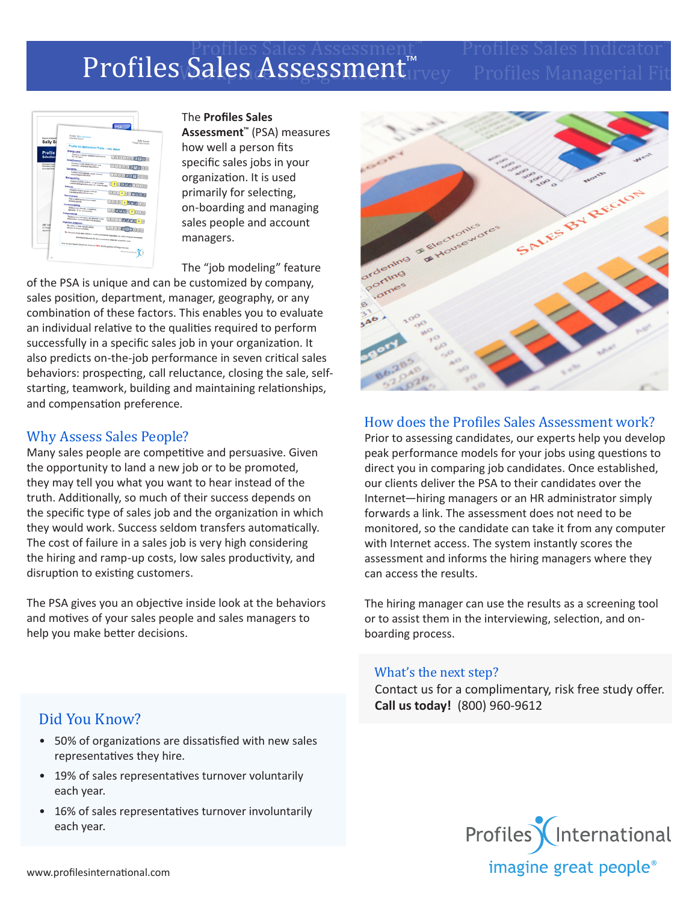# Profiles Sales Assessment™ Profiles Sales Indicator™ Profiles Sales Assessment™vey Profiles Managerial Fit

|                                                                 | <b>PSA</b>                                                                                                                        |
|-----------------------------------------------------------------|-----------------------------------------------------------------------------------------------------------------------------------|
| Report designed                                                 | <b>Profiles Sales Announced</b><br><b>Minica Aqua</b>                                                                             |
| Sally Sa                                                        | <b>Selly Semple</b><br>Widget Sales Modul                                                                                         |
|                                                                 | Profile for Behavioral Traits - 70% Match                                                                                         |
| Profile                                                         | <b>Energy Level</b>                                                                                                               |
| <b>Selection</b>                                                | Treatman to display endangers and regulate<br>fire forgers.<br>0000000000<br>Assemiumess                                          |
| <b>Ballymann Vivil</b><br><b>Parlamental</b><br>Accuracy future | Tendency to take charge of people and<br>student Lookston fun fullers.<br>0000000000<br>Society Inc.                              |
|                                                                 | Treatman to be entirely propin colored<br>and participate with collects<br>1200000000<br><b>Manageability</b>                     |
|                                                                 | Tendency to Adlery politics, accept entants<br>controls and aspertation and reads within the rains<br><b>82000200</b><br>Antiquia |
|                                                                 | Tendency to be an a positive attitude                                                                                             |
|                                                                 | reporting prople and estimates<br>1111416700<br><b>Decisionness</b>                                                               |
|                                                                 | Day are ability automation to make<br>detains packly.<br>11 11 11 1 3 1 1 1 1 1 1 1                                               |
|                                                                 | Accommodating<br>Tendency to be Detroity, compensive,                                                                             |
|                                                                 | agently. To be a businesses<br>00000000000<br>Independence                                                                        |
|                                                                 | Industry to be additions, will descried, to take<br>1220000000<br>independent action and make over decisions.                     |
| ABC Call                                                        | <b>Objective Judgment</b>                                                                                                         |
| 123 Main                                                        | The shifty to think legically and he<br>1300000000<br>charging a decision making                                                  |
| Automatic                                                       | The Dietection Scale deals with here candid and thosk the regrounded was while taking this associated                             |
|                                                                 | Disturbing Scale acres for this assessment is visitin the acceptable mean                                                         |
|                                                                 | Twity Sample has an Oversell job fidebility PIEN for the position of intellect Bender.                                            |
|                                                                 | <b>EAsterbaneous</b>                                                                                                              |

The **Profiles Sales** 

**Assessment™** (PSA) measures how well a person fits specific sales jobs in your organization. It is used primarily for selecting, on-boarding and managing sales people and account managers.

The "job modeling" feature

of the PSA is unique and can be customized by company, sales position, department, manager, geography, or any combination of these factors. This enables you to evaluate an individual relative to the qualities required to perform successfully in a specific sales job in your organization. It also predicts on-the-job performance in seven critical sales behaviors: prospecting, call reluctance, closing the sale, selfstarting, teamwork, building and maintaining relationships, and compensation preference.

### Why Assess Sales People?

Many sales people are competitive and persuasive. Given the opportunity to land a new job or to be promoted, they may tell you what you want to hear instead of the truth. Additionally, so much of their success depends on the specific type of sales job and the organization in which they would work. Success seldom transfers automatically. The cost of failure in a sales job is very high considering the hiring and ramp-up costs, low sales productivity, and disruption to existing customers.

The PSA gives you an objective inside look at the behaviors and motives of your sales people and sales managers to help you make better decisions.



## How does the Profiles Sales Assessment work?

Prior to assessing candidates, our experts help you develop peak performance models for your jobs using questions to direct you in comparing job candidates. Once established, our clients deliver the PSA to their candidates over the Internet—hiring managers or an HR administrator simply forwards a link. The assessment does not need to be monitored, so the candidate can take it from any computer with Internet access. The system instantly scores the assessment and informs the hiring managers where they can access the results.

The hiring manager can use the results as a screening tool or to assist them in the interviewing, selection, and onboarding process.

#### What's the next step?

Contact us for a complimentary, risk free study offer. **Call us today!** (800) 960-9612

### Did You Know?

- 50% of organizations are dissatisfied with new sales representatives they hire.
- 19% of sales representatives turnover voluntarily each year.
- 16% of sales representatives turnover involuntarily each year.